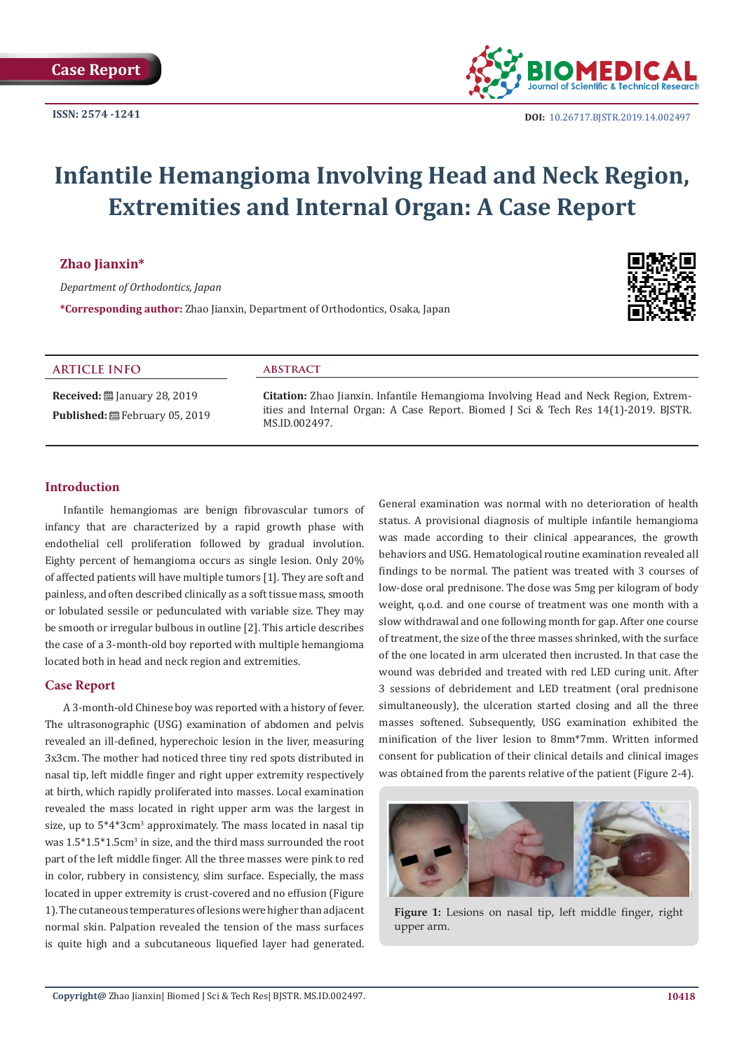

**DOI:** [10.26717.BJSTR.2019.14.0024](http://dx.doi.org/10.26717/BJSTR.2019.14.002497)97

# **Infantile Hemangioma Involving Head and Neck Region, Extremities and Internal Organ: A Case Report**

### **Zhao Jianxin\***

*Department of Orthodontics, Japan*

**\*Corresponding author:** Zhao Jianxin, Department of Orthodontics, Osaka, Japan



## **ARTICLE INFO**

**Received:** ■ January 28, 2019 Published: <sup>[26]</sup> February 05, 2019

#### **abstract**

**Citation:** Zhao Jianxin. Infantile Hemangioma Involving Head and Neck Region, Extremities and Internal Organ: A Case Report. Biomed J Sci & Tech Res 14(1)-2019. BJSTR. MS.ID.002497.

## **Introduction**

Infantile hemangiomas are benign fibrovascular tumors of infancy that are characterized by a rapid growth phase with endothelial cell proliferation followed by gradual involution. Eighty percent of hemangioma occurs as single lesion. Only 20% of affected patients will have multiple tumors [1]. They are soft and painless, and often described clinically as a soft tissue mass, smooth or lobulated sessile or pedunculated with variable size. They may be smooth or irregular bulbous in outline [2]. This article describes the case of a 3-month-old boy reported with multiple hemangioma located both in head and neck region and extremities.

#### **Case Report**

A 3-month-old Chinese boy was reported with a history of fever. The ultrasonographic (USG) examination of abdomen and pelvis revealed an ill-defined, hyperechoic lesion in the liver, measuring 3x3cm. The mother had noticed three tiny red spots distributed in nasal tip, left middle finger and right upper extremity respectively at birth, which rapidly proliferated into masses. Local examination revealed the mass located in right upper arm was the largest in size, up to 5\*4\*3cm<sup>3</sup> approximately. The mass located in nasal tip was  $1.5^*1.5^*1.5$ cm<sup>3</sup> in size, and the third mass surrounded the root part of the left middle finger. All the three masses were pink to red in color, rubbery in consistency, slim surface. Especially, the mass located in upper extremity is crust-covered and no effusion (Figure 1). The cutaneous temperatures of lesions were higher than adjacent normal skin. Palpation revealed the tension of the mass surfaces is quite high and a subcutaneous liquefied layer had generated. General examination was normal with no deterioration of health status. A provisional diagnosis of multiple infantile hemangioma was made according to their clinical appearances, the growth behaviors and USG. Hematological routine examination revealed all findings to be normal. The patient was treated with 3 courses of low-dose oral prednisone. The dose was 5mg per kilogram of body weight, q.o.d. and one course of treatment was one month with a slow withdrawal and one following month for gap. After one course of treatment, the size of the three masses shrinked, with the surface of the one located in arm ulcerated then incrusted. In that case the wound was debrided and treated with red LED curing unit. After 3 sessions of debridement and LED treatment (oral prednisone simultaneously), the ulceration started closing and all the three masses softened. Subsequently, USG examination exhibited the minification of the liver lesion to 8mm\*7mm. Written informed consent for publication of their clinical details and clinical images was obtained from the parents relative of the patient (Figure 2-4).



Figure 1: Lesions on nasal tip, left middle finger, right upper arm.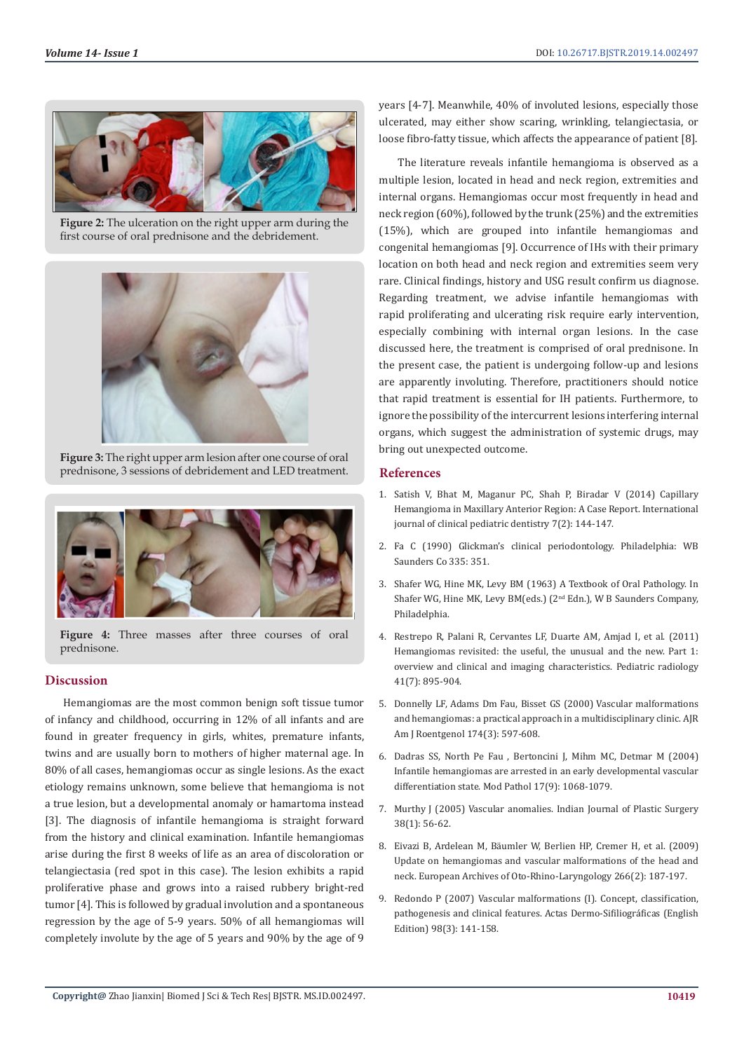

**Figure 2:** The ulceration on the right upper arm during the first course of oral prednisone and the debridement.



**Figure 3:** The right upper arm lesion after one course of oral prednisone, 3 sessions of debridement and LED treatment.



Figure 4: Three masses after three courses of oral prednisone.

## **Discussion**

Hemangiomas are the most common benign soft tissue tumor of infancy and childhood, occurring in 12% of all infants and are found in greater frequency in girls, whites, premature infants, twins and are usually born to mothers of higher maternal age. In 80% of all cases, hemangiomas occur as single lesions. As the exact etiology remains unknown, some believe that hemangioma is not a true lesion, but a developmental anomaly or hamartoma instead [3]. The diagnosis of infantile hemangioma is straight forward from the history and clinical examination. Infantile hemangiomas arise during the first 8 weeks of life as an area of discoloration or telangiectasia (red spot in this case). The lesion exhibits a rapid proliferative phase and grows into a raised rubbery bright-red tumor [4]. This is followed by gradual involution and a spontaneous regression by the age of 5-9 years. 50% of all hemangiomas will completely involute by the age of 5 years and 90% by the age of 9

years [4-7]. Meanwhile, 40% of involuted lesions, especially those ulcerated, may either show scaring, wrinkling, telangiectasia, or loose fibro-fatty tissue, which affects the appearance of patient [8].

The literature reveals infantile hemangioma is observed as a multiple lesion, located in head and neck region, extremities and internal organs. Hemangiomas occur most frequently in head and neck region (60%), followed by the trunk (25%) and the extremities (15%), which are grouped into infantile hemangiomas and congenital hemangiomas [9]. Occurrence of IHs with their primary location on both head and neck region and extremities seem very rare. Clinical findings, history and USG result confirm us diagnose. Regarding treatment, we advise infantile hemangiomas with rapid proliferating and ulcerating risk require early intervention, especially combining with internal organ lesions. In the case discussed here, the treatment is comprised of oral prednisone. In the present case, the patient is undergoing follow-up and lesions are apparently involuting. Therefore, practitioners should notice that rapid treatment is essential for IH patients. Furthermore, to ignore the possibility of the intercurrent lesions interfering internal organs, which suggest the administration of systemic drugs, may bring out unexpected outcome.

### **References**

- 1. [Satish V, Bhat M, Maganur PC, Shah P, Biradar V \(2014\) Capillary](https://www.ncbi.nlm.nih.gov/pmc/articles/PMC4212173/) [Hemangioma in Maxillary Anterior Region: A Case Report. International](https://www.ncbi.nlm.nih.gov/pmc/articles/PMC4212173/) [journal of clinical pediatric dentistry 7\(2\): 144-147.](https://www.ncbi.nlm.nih.gov/pmc/articles/PMC4212173/)
- 2. Fa C (1990) Glickman's clinical periodontology. Philadelphia: WB Saunders Co 335: 351.
- 3. [Shafer WG, Hine MK, Levy BM \(1963\) A Textbook of Oral Pathology. In](https://www.scirp.org/(S(i43dyn45teexjx455qlt3d2q))/reference/ReferencesPapers.aspx?ReferenceID=1708646) [Shafer WG, Hine MK, Levy BM\(eds.\) \(2](https://www.scirp.org/(S(i43dyn45teexjx455qlt3d2q))/reference/ReferencesPapers.aspx?ReferenceID=1708646)<sup>nd</sup> Edn.), W B Saunders Company, [Philadelphia.](https://www.scirp.org/(S(i43dyn45teexjx455qlt3d2q))/reference/ReferencesPapers.aspx?ReferenceID=1708646)
- 4. [Restrepo R, Palani R, Cervantes LF, Duarte AM, Amjad I, et al. \(2011\)](https://www.ncbi.nlm.nih.gov/pubmed/21594550) [Hemangiomas revisited: the useful, the unusual and the new. Part 1:](https://www.ncbi.nlm.nih.gov/pubmed/21594550) [overview and clinical and imaging characteristics. Pediatric radiology](https://www.ncbi.nlm.nih.gov/pubmed/21594550) [41\(7\): 895-904.](https://www.ncbi.nlm.nih.gov/pubmed/21594550)
- 5. [Donnelly LF, Adams Dm Fau, Bisset GS \(2000\) Vascular malformations](https://www.ncbi.nlm.nih.gov/pubmed/10701595) [and hemangiomas: a practical approach in a multidisciplinary clinic. AJR](https://www.ncbi.nlm.nih.gov/pubmed/10701595) [Am J Roentgenol 174\(3\): 597-608.](https://www.ncbi.nlm.nih.gov/pubmed/10701595)
- 6. [Dadras SS, North Pe Fau , Bertoncini J, Mihm MC, Detmar M \(2004\)](https://www.ncbi.nlm.nih.gov/pubmed/15143338) [Infantile hemangiomas are arrested in an early developmental vascular](https://www.ncbi.nlm.nih.gov/pubmed/15143338) [differentiation state. Mod Pathol 17\(9\): 1068-1079.](https://www.ncbi.nlm.nih.gov/pubmed/15143338)
- 7. [Murthy J \(2005\) Vascular anomalies. Indian Journal of Plastic Surgery](http://www.ijps.org/article.asp?issn=0970-0358;year=2005;volume=38;issue=1;spage=56;epage=62;aulast=Murthy) [38\(1\): 56-62.](http://www.ijps.org/article.asp?issn=0970-0358;year=2005;volume=38;issue=1;spage=56;epage=62;aulast=Murthy)
- 8. [Eivazi B, Ardelean M, Bäumler W, Berlien HP, Cremer H, et al. \(2009\)](https://www.ncbi.nlm.nih.gov/pubmed/19052764) [Update on hemangiomas and vascular malformations of the head and](https://www.ncbi.nlm.nih.gov/pubmed/19052764) [neck. European Archives of Oto-Rhino-Laryngology 266\(2\): 187-197.](https://www.ncbi.nlm.nih.gov/pubmed/19052764)
- 9. [Redondo P \(2007\) Vascular malformations \(I\). Concept, classification,](https://www.sciencedirect.com/science/article/pii/S1578219007704183) [pathogenesis and clinical features. Actas Dermo-Sifiliográficas \(English](https://www.sciencedirect.com/science/article/pii/S1578219007704183) [Edition\) 98\(3\): 141-158.](https://www.sciencedirect.com/science/article/pii/S1578219007704183)